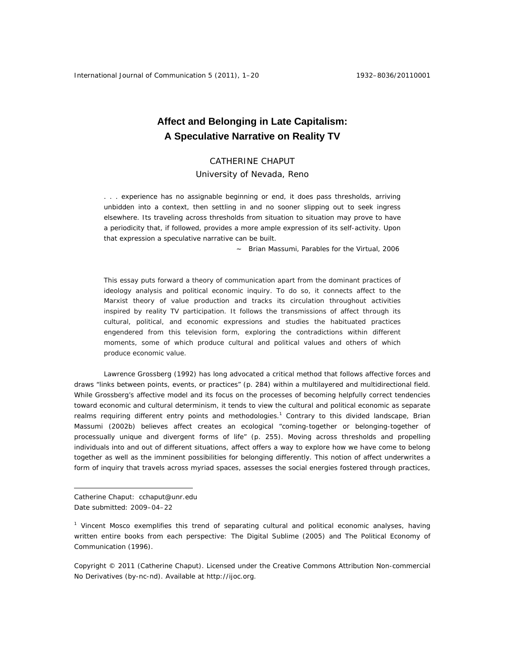# **Affect and Belonging in Late Capitalism: A Speculative Narrative on Reality TV**

# CATHERINE CHAPUT

# University of Nevada, Reno

*. . . experience has no assignable beginning or end, it does pass thresholds, arriving unbidden into a context, then settling in and no sooner slipping out to seek ingress elsewhere. Its traveling across thresholds from situation to situation may prove to have a periodicity that, if followed, provides a more ample expression of its self-activity. Upon that expression a speculative narrative can be built.* 

 *~ Brian Massumi,* Parables for the Virtual, *2006* 

This essay puts forward a theory of communication apart from the dominant practices of ideology analysis and political economic inquiry. To do so, it connects affect to the Marxist theory of value production and tracks its circulation throughout activities inspired by reality TV participation. It follows the transmissions of affect through its cultural, political, and economic expressions and studies the habituated practices engendered from this television form, exploring the contradictions within different moments, some of which produce cultural and political values and others of which produce economic value.

Lawrence Grossberg (1992) has long advocated a critical method that follows affective forces and draws "links between points, events, or practices" (p. 284) within a multilayered and multidirectional field. While Grossberg's affective model and its focus on the processes of becoming helpfully correct tendencies toward economic and cultural determinism, it tends to view the cultural and political economic as separate realms requiring different entry points and methodologies.<sup>1</sup> Contrary to this divided landscape, Brian Massumi (2002b) believes affect creates an ecological "coming-together or belonging-together of processually unique and divergent forms of life" (p. 255). Moving across thresholds and propelling individuals into and out of different situations, affect offers a way to explore how we have come to belong together as well as the imminent possibilities for belonging differently. This notion of affect underwrites a form of inquiry that travels across myriad spaces, assesses the social energies fostered through practices,

 $\overline{a}$ 

Catherine Chaput: cchaput@unr.edu Date submitted: 2009–04–22

<sup>&</sup>lt;sup>1</sup> Vincent Mosco exemplifies this trend of separating cultural and political economic analyses, having written entire books from each perspective: *The Digital Sublime* (2005) and *The Political Economy of Communication* (1996).

Copyright © 2011 (Catherine Chaput). Licensed under the Creative Commons Attribution Non-commercial No Derivatives (by-nc-nd). Available at http://ijoc.org.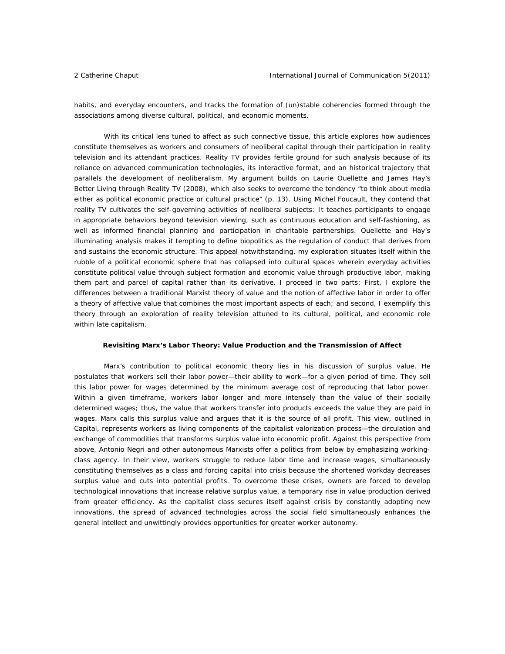habits, and everyday encounters, and tracks the formation of (un)stable coherencies formed through the associations among diverse cultural, political, and economic moments.

With its critical lens tuned to affect as such connective tissue, this article explores how audiences constitute themselves as workers and consumers of neoliberal capital through their participation in reality television and its attendant practices. Reality TV provides fertile ground for such analysis because of its reliance on advanced communication technologies, its interactive format, and an historical trajectory that parallels the development of neoliberalism. My argument builds on Laurie Ouellette and James Hay's *Better Living through Reality TV* (2008), which also seeks to overcome the tendency "to think about media either as political economic practice or cultural practice" (p. 13). Using Michel Foucault, they contend that reality TV cultivates the self-governing activities of neoliberal subjects: It teaches participants to engage in appropriate behaviors beyond television viewing, such as continuous education and self-fashioning, as well as informed financial planning and participation in charitable partnerships. Ouellette and Hay's illuminating analysis makes it tempting to define biopolitics as the regulation of conduct that derives from and sustains the economic structure. This appeal notwithstanding, my exploration situates itself within the rubble of a political economic sphere that has collapsed into cultural spaces wherein everyday activities constitute political value through subject formation and economic value through productive labor, making them part and parcel of capital rather than its derivative. I proceed in two parts: First, I explore the differences between a traditional Marxist theory of value and the notion of affective labor in order to offer a theory of affective value that combines the most important aspects of each; and second, I exemplify this theory through an exploration of reality television attuned to its cultural, political, and economic role within late capitalism.

#### **Revisiting Marx's Labor Theory: Value Production and the Transmission of Affect**

 Marx's contribution to political economic theory lies in his discussion of surplus value. He postulates that workers sell their labor power—their ability to work—for a given period of time. They sell this labor power for wages determined by the minimum average cost of reproducing that labor power. Within a given timeframe, workers labor longer and more intensely than the value of their socially determined wages; thus, the value that workers transfer into products exceeds the value they are paid in wages. Marx calls this surplus value and argues that it is the source of all profit. This view, outlined in *Capital*, represents workers as living components of the capitalist valorization process—the circulation and exchange of commodities that transforms surplus value into economic profit. Against this perspective from above, Antonio Negri and other autonomous Marxists offer a politics from below by emphasizing workingclass agency. In their view, workers struggle to reduce labor time and increase wages, simultaneously constituting themselves as a class and forcing capital into crisis because the shortened workday decreases surplus value and cuts into potential profits. To overcome these crises, owners are forced to develop technological innovations that increase relative surplus value, a temporary rise in value production derived from greater efficiency. As the capitalist class secures itself against crisis by constantly adopting new innovations, the spread of advanced technologies across the social field simultaneously enhances the general intellect and unwittingly provides opportunities for greater worker autonomy.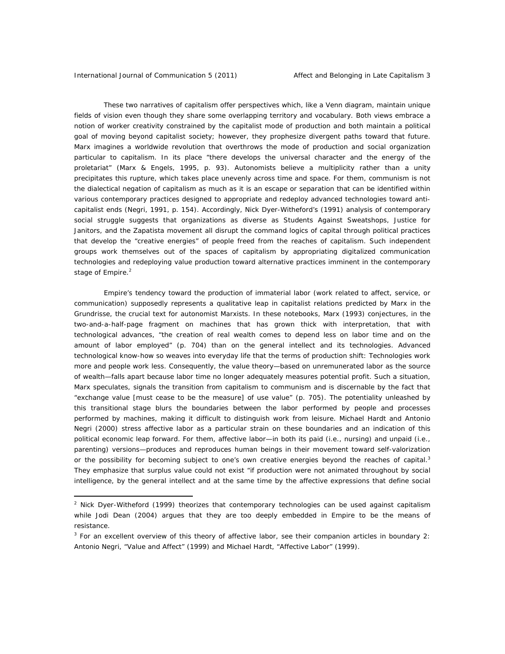These two narratives of capitalism offer perspectives which, like a Venn diagram, maintain unique fields of vision even though they share some overlapping territory and vocabulary. Both views embrace a notion of worker creativity constrained by the capitalist mode of production and both maintain a political goal of moving beyond capitalist society; however, they prophesize divergent paths toward that future. Marx imagines a worldwide revolution that overthrows the mode of production and social organization particular to capitalism. In its place "there develops the universal character and the energy of the proletariat" (Marx & Engels, 1995, p. 93). Autonomists believe a multiplicity rather than a unity precipitates this rupture, which takes place unevenly across time and space. For them, communism is not the dialectical negation of capitalism as much as it is an escape or separation that can be identified within various contemporary practices designed to appropriate and redeploy advanced technologies toward anticapitalist ends (Negri, 1991, p. 154). Accordingly, Nick Dyer-Witheford's (1991) analysis of contemporary social struggle suggests that organizations as diverse as Students Against Sweatshops, Justice for Janitors, and the Zapatista movement all disrupt the command logics of capital through political practices that develop the "creative energies" of people freed from the reaches of capitalism. Such independent groups work themselves out of the spaces of capitalism by appropriating digitalized communication technologies and redeploying value production toward alternative practices imminent in the contemporary stage of Empire.<sup>2</sup>

Empire's tendency toward the production of immaterial labor (work related to affect, service, or communication) supposedly represents a qualitative leap in capitalist relations predicted by Marx in the *Grundrisse*, the crucial text for autonomist Marxists. In these notebooks, Marx (1993) conjectures, in the two-and-a-half-page fragment on machines that has grown thick with interpretation, that with technological advances, "the creation of real wealth comes to depend less on labor time and on the amount of labor employed" (p. 704) than on the general intellect and its technologies. Advanced technological know-how so weaves into everyday life that the terms of production shift: Technologies work more and people work less. Consequently, the value theory—based on unremunerated labor as the source of wealth—falls apart because labor time no longer adequately measures potential profit. Such a situation, Marx speculates, signals the transition from capitalism to communism and is discernable by the fact that "exchange value [must cease to be the measure] of use value" (p. 705). The potentiality unleashed by this transitional stage blurs the boundaries between the labor performed by people and processes performed by machines, making it difficult to distinguish work from leisure. Michael Hardt and Antonio Negri (2000) stress affective labor as a particular strain on these boundaries and an indication of this political economic leap forward. For them, affective labor—in both its paid (i.e., nursing) and unpaid (i.e., parenting) versions—produces and reproduces human beings in their movement toward self-valorization or the possibility for becoming subject to one's own creative energies beyond the reaches of capital. $3$ They emphasize that surplus value could not exist "if production were not animated throughout by social intelligence, by the general intellect and at the same time by the affective expressions that define social

<sup>&</sup>lt;sup>2</sup> Nick Dyer-Witheford (1999) theorizes that contemporary technologies can be used against capitalism while Jodi Dean (2004) argues that they are too deeply embedded in Empire to be the means of resistance.

<sup>3</sup> For an excellent overview of this theory of affective labor, see their companion articles in *boundary 2*: Antonio Negri, "Value and Affect" (1999) and Michael Hardt, "Affective Labor" (1999).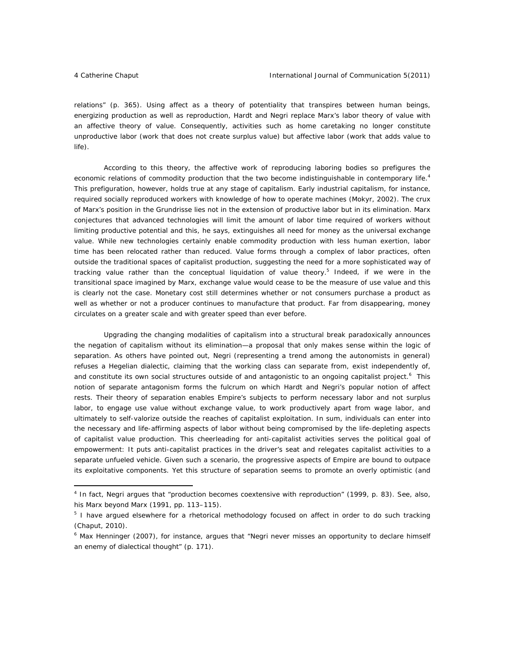relations" (p. 365). Using affect as a theory of potentiality that transpires between human beings, energizing production as well as reproduction, Hardt and Negri replace Marx's labor theory of value with an affective theory of value. Consequently, activities such as home caretaking no longer constitute unproductive labor (work that does not create surplus value) but affective labor (work that adds value to life).

According to this theory, the affective work of reproducing laboring bodies so prefigures the economic relations of commodity production that the two become indistinguishable in contemporary life.<sup>4</sup> This prefiguration, however, holds true at any stage of capitalism. Early industrial capitalism, for instance, required socially reproduced workers with knowledge of how to operate machines (Mokyr, 2002). The crux of Marx's position in the *Grundrisse* lies not in the extension of productive labor but in its elimination. Marx conjectures that advanced technologies will limit the amount of labor time required of workers without limiting productive potential and this, he says, extinguishes all need for money as the universal exchange value. While new technologies certainly enable commodity production with less human exertion, labor time has been relocated rather than reduced. Value forms through a complex of labor practices, often outside the traditional spaces of capitalist production, suggesting the need for a more sophisticated way of tracking value rather than the conceptual liquidation of value theory.<sup>5</sup> Indeed, if we were in the transitional space imagined by Marx, exchange value would cease to be the measure of use value and this is clearly not the case. Monetary cost still determines whether or not consumers purchase a product as well as whether or not a producer continues to manufacture that product. Far from disappearing, money circulates on a greater scale and with greater speed than ever before.

Upgrading the changing modalities of capitalism into a structural break paradoxically announces the negation of capitalism without its elimination—a proposal that only makes sense within the logic of separation. As others have pointed out, Negri (representing a trend among the autonomists in general) refuses a Hegelian dialectic, claiming that the working class can separate from, exist independently of, and constitute its own social structures outside of and antagonistic to an ongoing capitalist project.<sup>6</sup> This notion of separate antagonism forms the fulcrum on which Hardt and Negri's popular notion of affect rests. Their theory of separation enables Empire's subjects to perform necessary labor and not surplus labor, to engage use value without exchange value, to work productively apart from wage labor, and ultimately to self-valorize outside the reaches of capitalist exploitation. In sum, individuals can enter into the necessary and life-affirming aspects of labor without being compromised by the life-depleting aspects of capitalist value production. This cheerleading for anti-capitalist activities serves the political goal of empowerment: It puts anti-capitalist practices in the driver's seat and relegates capitalist activities to a separate unfueled vehicle. Given such a scenario, the progressive aspects of Empire are bound to outpace its exploitative components. Yet this structure of separation seems to promote an overly optimistic (and

<sup>4</sup> In fact, Negri argues that "production becomes coextensive with reproduction" (1999, p. 83). See, also, his *Marx beyond Marx* (1991, pp. 113–115).

<sup>&</sup>lt;sup>5</sup> I have argued elsewhere for a rhetorical methodology focused on affect in order to do such tracking (Chaput, 2010).

<sup>&</sup>lt;sup>6</sup> Max Henninger (2007), for instance, argues that "Negri never misses an opportunity to declare himself an enemy of dialectical thought" (p. 171).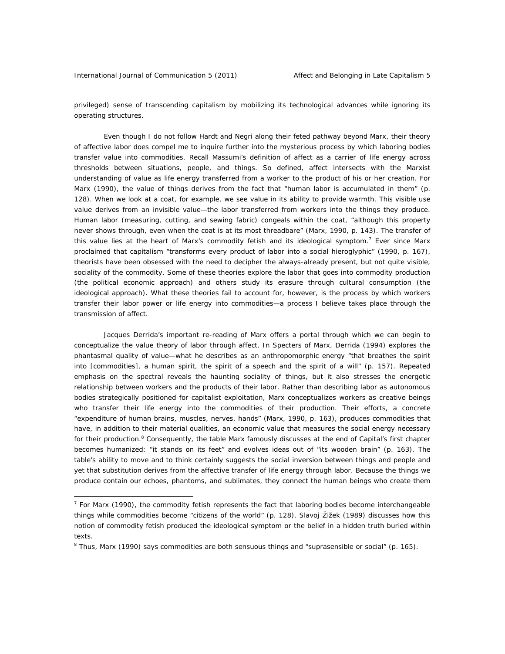privileged) sense of transcending capitalism by mobilizing its technological advances while ignoring its operating structures.

Even though I do not follow Hardt and Negri along their feted pathway beyond Marx, their theory of affective labor does compel me to inquire further into the mysterious process by which laboring bodies transfer value into commodities. Recall Massumi's definition of affect as a carrier of life energy across thresholds between situations, people, and things. So defined, affect intersects with the Marxist understanding of value as life energy transferred from a worker to the product of his or her creation. For Marx (1990), the value of things derives from the fact that "human labor is accumulated in them" (p. 128). When we look at a coat, for example, we see value in its ability to provide warmth. This visible use value derives from an invisible value—the labor transferred from workers into the things they produce. Human labor (measuring, cutting, and sewing fabric) congeals within the coat, "although this property never shows through, even when the coat is at its most threadbare" (Marx, 1990, p. 143). The transfer of this value lies at the heart of Marx's commodity fetish and its ideological symptom.<sup>7</sup> Ever since Marx proclaimed that capitalism "transforms every product of labor into a social hieroglyphic" (1990, p. 167), theorists have been obsessed with the need to decipher the always-already present, but not quite visible, sociality of the commodity. Some of these theories explore the labor that goes into commodity production (the political economic approach) and others study its erasure through cultural consumption (the ideological approach). What these theories fail to account for, however, is *the process* by which workers transfer their labor power or life energy into commodities—a process I believe takes place through the transmission of affect.

Jacques Derrida's important re-reading of Marx offers a portal through which we can begin to conceptualize the value theory of labor through affect. In *Specters of Marx*, Derrida (1994) explores the phantasmal quality of value—what he describes as an anthropomorphic energy "that breathes the spirit into [commodities], a human spirit, the spirit of a speech and the spirit of a will" (p. 157). Repeated emphasis on the spectral reveals the haunting sociality of things, but it also stresses the energetic relationship between workers and the products of their labor. Rather than describing labor as autonomous bodies strategically positioned for capitalist exploitation, Marx conceptualizes workers as creative beings who transfer their life energy into the commodities of their production. Their efforts, a concrete "expenditure of human brains, muscles, nerves, hands" (Marx, 1990, p. 163), produces commodities that have, in addition to their material qualities, an economic value that measures the social energy necessary for their production.<sup>8</sup> Consequently, the table Marx famously discusses at the end of *Capital's* first chapter becomes humanized: "it stands on its feet" and evolves ideas out of "its wooden brain" (p. 163). The table's ability to move and to think certainly suggests the social inversion between things and people and yet that substitution derives from the affective transfer of life energy through labor. Because the things we produce contain our echoes, phantoms, and sublimates, they connect the human beings who create them

 $<sup>7</sup>$  For Marx (1990), the commodity fetish represents the fact that laboring bodies become interchangeable</sup> things while commodities become "citizens of the world" (p. 128). Slavoj Žižek (1989) discusses how this notion of commodity fetish produced the ideological symptom or the belief in a hidden truth buried within texts.

<sup>&</sup>lt;sup>8</sup> Thus, Marx (1990) says commodities are both sensuous things and "suprasensible or social" (p. 165).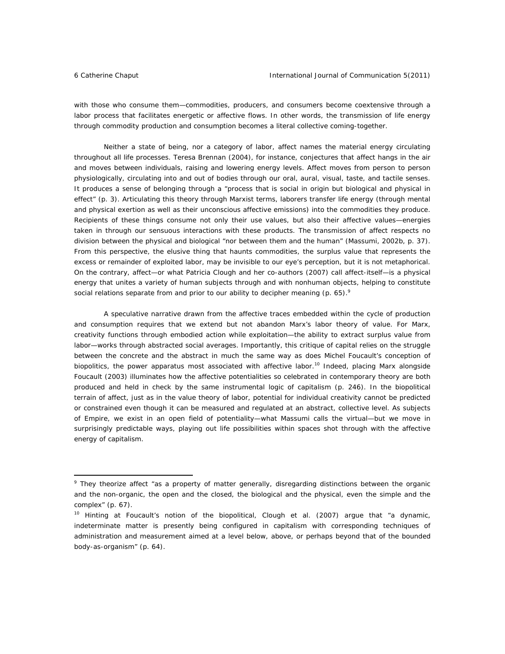with those who consume them—commodities, producers, and consumers become coextensive through a labor process that facilitates energetic or affective flows. In other words, the transmission of life energy through commodity production and consumption becomes a literal collective coming-together.

Neither a state of being, nor a category of labor, affect names the material energy circulating throughout all life processes. Teresa Brennan (2004), for instance, conjectures that affect hangs in the air and moves between individuals, raising and lowering energy levels. Affect moves from person to person physiologically, circulating into and out of bodies through our oral, aural, visual, taste, and tactile senses. It produces a sense of belonging through a "process that is social in origin but biological and physical in effect" (p. 3). Articulating this theory through Marxist terms, laborers transfer life energy (through mental and physical exertion as well as their unconscious affective emissions) into the commodities they produce. Recipients of these things consume not only their use values, but also their affective values—energies taken in through our sensuous interactions with these products. The transmission of affect respects no division between the physical and biological "nor between them and the human" (Massumi, 2002b, p. 37). From this perspective, the elusive thing that haunts commodities, the surplus value that represents the excess or remainder of exploited labor, may be invisible to our eye's perception, but it is not metaphorical. On the contrary, affect—or what Patricia Clough and her co-authors (2007) call affect-itself—is a physical energy that unites a variety of human subjects through and with nonhuman objects, helping to constitute social relations separate from and prior to our ability to decipher meaning (p. 65). $9$ 

A speculative narrative drawn from the affective traces embedded within the cycle of production and consumption requires that we extend but not abandon Marx's labor theory of value. For Marx, creativity functions through embodied action while exploitation—the ability to extract surplus value from labor—works through abstracted social averages. Importantly, this critique of capital relies on the struggle between the concrete and the abstract in much the same way as does Michel Foucault's conception of biopolitics, the power apparatus most associated with affective labor.<sup>10</sup> Indeed, placing Marx alongside Foucault (2003) illuminates how the affective potentialities so celebrated in contemporary theory are both produced and held in check by the same instrumental logic of capitalism (p. 246). In the biopolitical terrain of affect, just as in the value theory of labor, potential for individual creativity cannot be predicted or constrained even though it can be measured and regulated at an abstract, collective level. As subjects of Empire, we exist in an open field of potentiality—what Massumi calls the virtual—but we move in surprisingly predictable ways, playing out life possibilities within spaces shot through with the affective energy of capitalism.

<sup>&</sup>lt;sup>9</sup> They theorize affect "as a property of matter generally, disregarding distinctions between the organic and the non-organic, the open and the closed, the biological and the physical, even the simple and the complex" (p. 67).

<sup>&</sup>lt;sup>10</sup> Hinting at Foucault's notion of the biopolitical, Clough et al. (2007) argue that "a dynamic, indeterminate matter is presently being configured in capitalism with corresponding techniques of administration and measurement aimed at a level below, above, or perhaps beyond that of the bounded body-as-organism" (p. 64).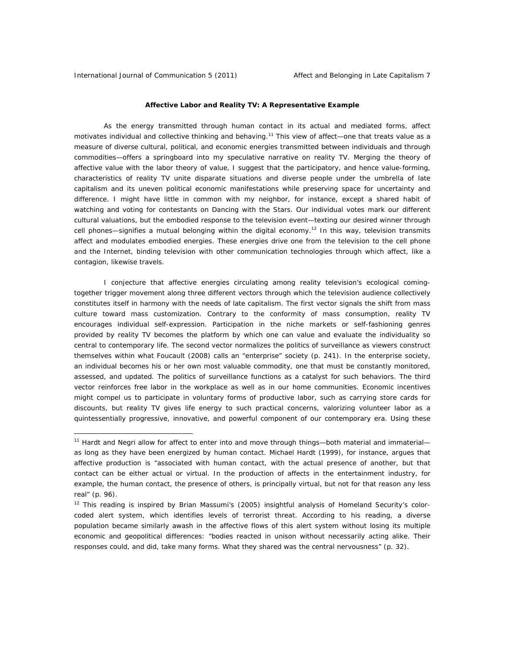# **Affective Labor and Reality TV: A Representative Example**

As the energy transmitted through human contact in its actual and mediated forms, affect motivates individual and collective thinking and behaving.<sup>11</sup> This view of affect—one that treats value as a measure of diverse cultural, political, and economic energies transmitted between individuals and through commodities—offers a springboard into my speculative narrative on reality TV. Merging the theory of affective value with the labor theory of value, I suggest that the participatory, and hence value-forming, characteristics of reality TV unite disparate situations and diverse people under the umbrella of late capitalism and its uneven political economic manifestations while preserving space for uncertainty and difference. I might have little in common with my neighbor, for instance, except a shared habit of watching and voting for contestants on *Dancing with the Stars*. Our individual votes mark our different cultural valuations, but the embodied response to the television event—texting our desired winner through cell phones—signifies a mutual belonging within the digital economy.<sup>12</sup> In this way, television transmits affect and modulates embodied energies. These energies drive one from the television to the cell phone and the Internet, binding television with other communication technologies through which affect, like a contagion, likewise travels.

I conjecture that affective energies circulating among reality television's ecological comingtogether trigger movement along three different vectors through which the television audience collectively constitutes itself in harmony with the needs of late capitalism. The first vector signals the shift from mass culture toward mass customization. Contrary to the conformity of mass consumption, reality TV encourages individual self-expression. Participation in the niche markets or self-fashioning genres provided by reality TV becomes the platform by which one can value and evaluate the individuality so central to contemporary life. The second vector normalizes the politics of surveillance as viewers construct themselves within what Foucault (2008) calls an "enterprise" society (p. 241). In the enterprise society, an individual becomes his or her own most valuable commodity, one that must be constantly monitored, assessed, and updated. The politics of surveillance functions as a catalyst for such behaviors. The third vector reinforces free labor in the workplace as well as in our home communities. Economic incentives might compel us to participate in voluntary forms of productive labor, such as carrying store cards for discounts, but reality TV gives life energy to such practical concerns, valorizing volunteer labor as a quintessentially progressive, innovative, and powerful component of our contemporary era. Using these

<sup>&</sup>lt;sup>11</sup> Hardt and Negri allow for affect to enter into and move through things-both material and immaterialas long as they have been energized by human contact. Michael Hardt (1999), for instance, argues that affective production is "associated with human contact, with the actual presence of another, but that contact can be either actual or virtual. In the production of affects in the entertainment industry, for example, the human contact, the presence of others, is principally virtual, but not for that reason any less real" (p. 96).

<sup>&</sup>lt;sup>12</sup> This reading is inspired by Brian Massumi's (2005) insightful analysis of Homeland Security's colorcoded alert system, which identifies levels of terrorist threat. According to his reading, a diverse population became similarly awash in the affective flows of this alert system without losing its multiple economic and geopolitical differences: "bodies reacted in unison without necessarily acting alike. Their responses could, and did, take many forms. What they shared was the central nervousness" (p. 32).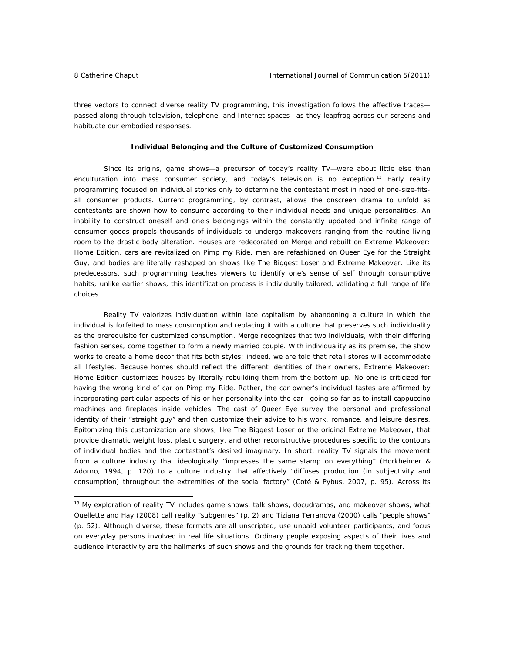three vectors to connect diverse reality TV programming, this investigation follows the affective traces passed along through television, telephone, and Internet spaces—as they leapfrog across our screens and habituate our embodied responses.

#### **Individual Belonging and the Culture of Customized Consumption**

Since its origins, game shows—a precursor of today's reality TV—were about little else than enculturation into mass consumer society, and today's television is no exception.<sup>13</sup> Early reality programming focused on individual stories only to determine the contestant most in need of one-size-fitsall consumer products. Current programming, by contrast, allows the onscreen drama to unfold as contestants are shown how to consume according to their individual needs and unique personalities. An inability to construct oneself and one's belongings within the constantly updated and infinite range of consumer goods propels thousands of individuals to undergo makeovers ranging from the routine living room to the drastic body alteration. Houses are redecorated on *Merge* and rebuilt on *Extreme Makeover: Home Edition*, cars are revitalized on *Pimp my Ride*, men are refashioned on *Queer Eye for the Straight Guy*, and bodies are literally reshaped on shows like *The Biggest Loser* and *Extreme Makeover*. Like its predecessors, such programming teaches viewers to identify one's sense of self through consumptive habits; unlike earlier shows, this identification process is individually tailored, validating a full range of life choices.

Reality TV valorizes individuation within late capitalism by abandoning a culture in which the individual is forfeited to mass consumption and replacing it with a culture that preserves such individuality as the prerequisite for customized consumption. *Merge* recognizes that two individuals, with their differing fashion senses, come together to form a newly married couple. With individuality as its premise, the show works to create a home decor that fits both styles; indeed, we are told that retail stores will accommodate *all* lifestyles. Because homes should reflect the different identities of their owners, *Extreme Makeover: Home Edition* customizes houses by literally rebuilding them from the bottom up. No one is criticized for having the wrong kind of car on *Pimp my Ride.* Rather, the car owner's individual tastes are affirmed by incorporating particular aspects of his or her personality into the car—going so far as to install cappuccino machines and fireplaces inside vehicles. The cast of *Queer Eye* survey the personal and professional identity of their "straight guy" and then customize their advice to his work, romance, and leisure desires. Epitomizing this customization are shows, like *The Biggest Loser* or the original *Extreme Makeover,* that provide dramatic weight loss, plastic surgery, and other reconstructive procedures specific to the contours of individual bodies and the contestant's desired imaginary. In short, reality TV signals the movement from a culture industry that ideologically "impresses the same stamp on everything" (Horkheimer & Adorno, 1994, p. 120) to a culture industry that affectively "diffuses production (in subjectivity and consumption) throughout the extremities of the social factory" (Coté & Pybus, 2007, p. 95). Across its

<sup>&</sup>lt;sup>13</sup> My exploration of reality TV includes game shows, talk shows, docudramas, and makeover shows, what Ouellette and Hay (2008) call reality "subgenres" (p. 2) and Tiziana Terranova (2000) calls "people shows" (p. 52). Although diverse, these formats are all unscripted, use unpaid volunteer participants, and focus on everyday persons involved in real life situations. Ordinary people exposing aspects of their lives and audience interactivity are the hallmarks of such shows and the grounds for tracking them together.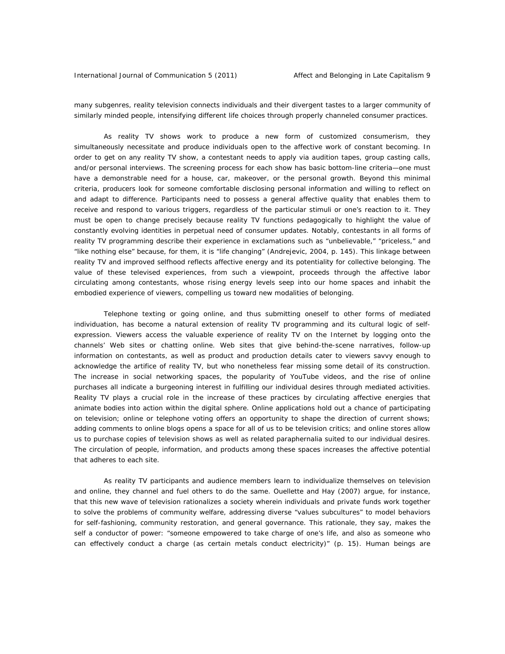many subgenres, reality television connects individuals and their divergent tastes to a larger community of similarly minded people, intensifying different life choices through properly channeled consumer practices.

 As reality TV shows work to produce a new form of customized consumerism, they simultaneously necessitate and produce individuals open to the affective work of constant becoming. In order to get on any reality TV show, a contestant needs to apply via audition tapes, group casting calls, and/or personal interviews. The screening process for each show has basic bottom-line criteria—one must have a demonstrable need for a house, car, makeover, or the personal growth. Beyond this minimal criteria, producers look for someone comfortable disclosing personal information and willing to reflect on and adapt to difference. Participants need to possess a general affective quality that enables them to receive and respond to various triggers, regardless of the particular stimuli or one's reaction to it. They must be open to change precisely because reality TV functions pedagogically to highlight the value of constantly evolving identities in perpetual need of consumer updates. Notably, contestants in all forms of reality TV programming describe their experience in exclamations such as "unbelievable," "priceless," and "like nothing else" because, for them, it is "life changing" (Andrejevic, 2004, p. 145). This linkage between reality TV and improved selfhood reflects affective energy and its potentiality for collective belonging. The value of these televised experiences, from such a viewpoint, proceeds through the affective labor circulating among contestants, whose rising energy levels seep into our home spaces and inhabit the embodied experience of viewers, compelling us toward new modalities of belonging.

Telephone texting or going online, and thus submitting oneself to other forms of mediated individuation, has become a natural extension of reality TV programming and its cultural logic of selfexpression. Viewers access the valuable experience of reality TV on the Internet by logging onto the channels' Web sites or chatting online. Web sites that give behind-the-scene narratives, follow-up information on contestants, as well as product and production details cater to viewers savvy enough to acknowledge the artifice of reality TV, but who nonetheless fear missing some detail of its construction. The increase in social networking spaces, the popularity of YouTube videos, and the rise of online purchases all indicate a burgeoning interest in fulfilling our individual desires through mediated activities. Reality TV plays a crucial role in the increase of these practices by circulating affective energies that animate bodies into action within the digital sphere. Online applications hold out a chance of participating on television; online or telephone voting offers an opportunity to shape the direction of current shows; adding comments to online blogs opens a space for all of us to be television critics; and online stores allow us to purchase copies of television shows as well as related paraphernalia suited to our individual desires. The circulation of people, information, and products among these spaces increases the affective potential that adheres to each site.

As reality TV participants and audience members learn to individualize themselves on television and online, they channel and fuel others to do the same. Ouellette and Hay (2007) argue, for instance, that this new wave of television rationalizes a society wherein individuals and private funds work together to solve the problems of community welfare, addressing diverse "values subcultures" to model behaviors for self-fashioning, community restoration, and general governance. This rationale, they say, makes the self a conductor of power: "someone empowered to take charge of one's life, and also as someone who can effectively conduct a charge (as certain metals conduct electricity)" (p. 15). Human beings are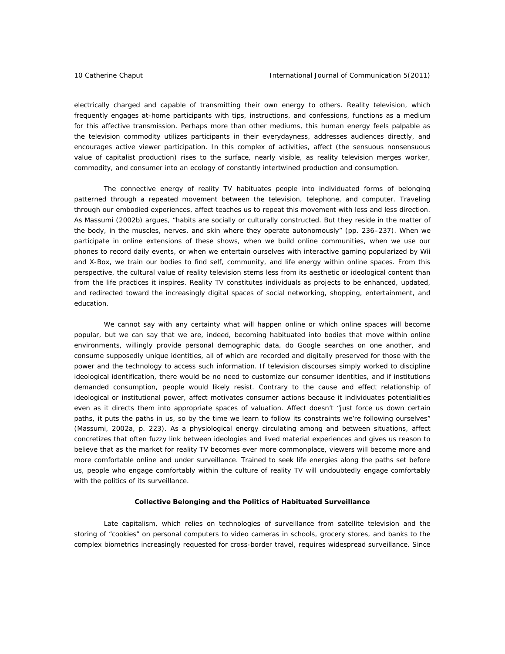electrically charged and capable of transmitting their own energy to others. Reality television, which frequently engages at-home participants with tips, instructions, and confessions, functions as a medium for this affective transmission. Perhaps more than other mediums, this human energy feels palpable as the television commodity utilizes participants in their everydayness, addresses audiences directly, and encourages active viewer participation. In this complex of activities, affect (the sensuous nonsensuous value of capitalist production) rises to the surface, nearly visible, as reality television merges worker, commodity, and consumer into an ecology of constantly intertwined production and consumption.

The connective energy of reality TV habituates people into individuated forms of belonging patterned through a repeated movement between the television, telephone, and computer. Traveling through our embodied experiences, affect teaches us to repeat this movement with less and less direction. As Massumi (2002b) argues, "habits are socially or culturally constructed. But they reside in the matter of the body, in the muscles, nerves, and skin where they operate autonomously" (pp. 236–237). When we participate in online extensions of these shows, when we build online communities, when we use our phones to record daily events, or when we entertain ourselves with interactive gaming popularized by Wii and X-Box, we train our bodies to find self, community, and life energy within online spaces. From this perspective, the cultural value of reality television stems less from its aesthetic or ideological content than from the life practices it inspires. Reality TV constitutes individuals as projects to be enhanced, updated, and redirected toward the increasingly digital spaces of social networking, shopping, entertainment, and education.

We cannot say with any certainty what will happen online or which online spaces will become popular, but we can say that we are, indeed, becoming habituated into bodies that move within online environments, willingly provide personal demographic data, do Google searches on one another, and consume supposedly unique identities, all of which are recorded and digitally preserved for those with the power and the technology to access such information. If television discourses simply worked to discipline ideological identification, there would be no need to customize our consumer identities, and if institutions demanded consumption, people would likely resist. Contrary to the cause and effect relationship of ideological or institutional power, affect motivates consumer actions because it individuates potentialities even as it directs them into appropriate spaces of valuation. Affect doesn't "just force us down certain paths, it puts the paths in us, so by the time we learn to follow its constraints we're following ourselves" (Massumi, 2002a, p. 223). As a physiological energy circulating among and between situations, affect concretizes that often fuzzy link between ideologies and lived material experiences and gives us reason to believe that as the market for reality TV becomes ever more commonplace, viewers will become more and more comfortable online and under surveillance. Trained to seek life energies along the paths set before us, people who engage comfortably within the culture of reality TV will undoubtedly engage comfortably with the politics of its surveillance.

# **Collective Belonging and the Politics of Habituated Surveillance**

Late capitalism, which relies on technologies of surveillance from satellite television and the storing of "cookies" on personal computers to video cameras in schools, grocery stores, and banks to the complex biometrics increasingly requested for cross-border travel, requires widespread surveillance. Since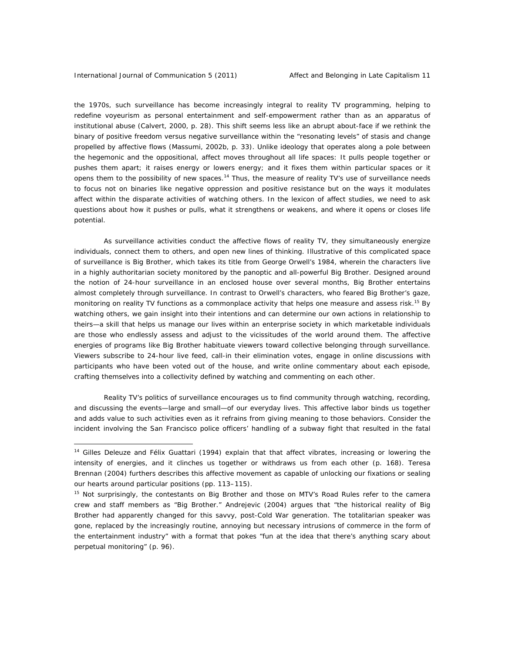the 1970s, such surveillance has become increasingly integral to reality TV programming, helping to redefine voyeurism as personal entertainment and self-empowerment rather than as an apparatus of institutional abuse (Calvert, 2000, p. 28). This shift seems less like an abrupt about-face if we rethink the binary of positive freedom versus negative surveillance within the "resonating levels" of stasis and change propelled by affective flows (Massumi, 2002b, p. 33). Unlike ideology that operates along a pole between the hegemonic and the oppositional, affect moves throughout all life spaces: It pulls people together or pushes them apart; it raises energy or lowers energy; and it fixes them within particular spaces or it opens them to the possibility of new spaces.<sup>14</sup> Thus, the measure of reality TV's use of surveillance needs to focus not on binaries like negative oppression and positive resistance but on the ways it modulates affect within the disparate activities of watching others. In the lexicon of affect studies, we need to ask questions about how it pushes or pulls, what it strengthens or weakens, and where it opens or closes life potential.

As surveillance activities conduct the affective flows of reality TV, they simultaneously energize individuals, connect them to others, and open new lines of thinking. Illustrative of this complicated space of surveillance is *Big Brother,* which takes its title from George Orwell's *1984,* wherein the characters live in a highly authoritarian society monitored by the panoptic and all-powerful Big Brother. Designed around the notion of 24-hour surveillance in an enclosed house over several months, *Big Brother* entertains almost completely through surveillance. In contrast to Orwell's characters, who feared Big Brother's gaze, monitoring on reality TV functions as a commonplace activity that helps one measure and assess risk.<sup>15</sup> By watching others, we gain insight into their intentions and can determine our own actions in relationship to theirs—a skill that helps us manage our lives within an enterprise society in which marketable individuals are those who endlessly assess and adjust to the vicissitudes of the world around them. The affective energies of programs like *Big Brother* habituate viewers toward collective belonging through surveillance. Viewers subscribe to 24-hour live feed, call-in their elimination votes, engage in online discussions with participants who have been voted out of the house, and write online commentary about each episode, crafting themselves into a collectivity defined by watching and commenting on each other.

Reality TV's politics of surveillance encourages us to find community through watching, recording, and discussing the events—large and small—of our everyday lives. This affective labor binds us together and adds value to such activities even as it refrains from giving meaning to those behaviors. Consider the incident involving the San Francisco police officers' handling of a subway fight that resulted in the fatal

<sup>&</sup>lt;sup>14</sup> Gilles Deleuze and Félix Guattari (1994) explain that that affect vibrates, increasing or lowering the intensity of energies, and it clinches us together or withdraws us from each other (p. 168). Teresa Brennan (2004) furthers describes this affective movement as capable of unlocking our fixations or sealing our hearts around particular positions (pp. 113–115).

<sup>15</sup> Not surprisingly, the contestants on *Big Brother* and those on MTV's *Road Rules* refer to the camera crew and staff members as "Big Brother." Andrejevic (2004) argues that "the historical reality of Big Brother had apparently changed for this savvy, post-Cold War generation. The totalitarian speaker was gone, replaced by the increasingly routine, annoying but necessary intrusions of commerce in the form of the entertainment industry" with a format that pokes "fun at the idea that there's anything scary about perpetual monitoring" (p. 96).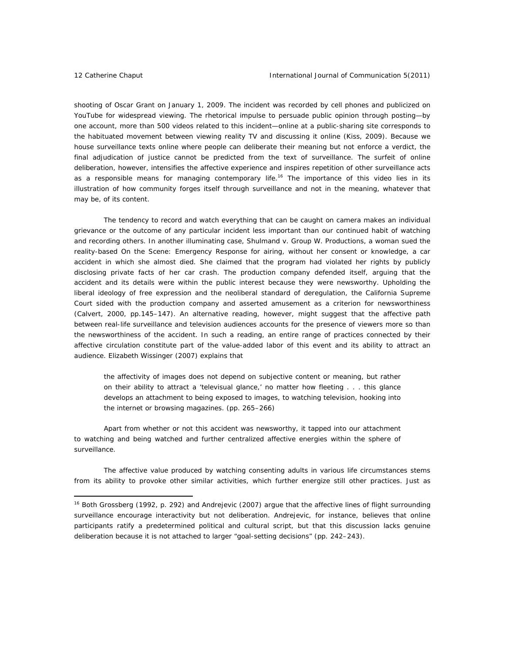shooting of Oscar Grant on January 1, 2009. The incident was recorded by cell phones and publicized on YouTube for widespread viewing. The rhetorical impulse to persuade public opinion through posting—by one account, more than 500 videos related to this incident—online at a public-sharing site corresponds to the habituated movement between viewing reality TV and discussing it online (Kiss, 2009). Because we house surveillance texts online where people can deliberate their meaning but not enforce a verdict, the final adjudication of justice cannot be predicted from the text of surveillance. The surfeit of online deliberation, however, intensifies the affective experience and inspires repetition of other surveillance acts as a responsible means for managing contemporary life.<sup>16</sup> The importance of this video lies in its illustration of how community forges itself through surveillance and not in the meaning, whatever that may be, of its content.

The tendency to record and watch everything that can be caught on camera makes an individual grievance or the outcome of any particular incident less important than our continued habit of watching and recording others. In another illuminating case, Shulmand v. Group W. Productions, a woman sued the reality-based *On the Scene: Emergency Response* for airing, without her consent or knowledge, a car accident in which she almost died. She claimed that the program had violated her rights by publicly disclosing private facts of her car crash. The production company defended itself, arguing that the accident and its details were within the public interest because they were newsworthy. Upholding the liberal ideology of free expression and the neoliberal standard of deregulation, the California Supreme Court sided with the production company and asserted amusement as a criterion for newsworthiness (Calvert, 2000, pp.145–147). An alternative reading, however, might suggest that the affective path between real-life surveillance and television audiences accounts for the presence of viewers more so than the newsworthiness of the accident. In such a reading, an entire range of practices connected by their affective circulation constitute part of the value-added labor of this event and its ability to attract an audience. Elizabeth Wissinger (2007) explains that

the affectivity of images does not depend on subjective content or meaning, but rather on their ability to attract a 'televisual glance,' no matter how fleeting . . . this glance develops an attachment to being exposed to images, to watching television, hooking into the internet or browsing magazines. (pp. 265–266)

Apart from whether or not this accident was newsworthy, it tapped into our attachment to watching and being watched and further centralized affective energies within the sphere of surveillance.

The affective value produced by watching consenting adults in various life circumstances stems from its ability to provoke other similar activities, which further energize still other practices. Just as

<sup>&</sup>lt;sup>16</sup> Both Grossberg (1992, p. 292) and Andrejevic (2007) argue that the affective lines of flight surrounding surveillance encourage interactivity but not deliberation. Andrejevic, for instance, believes that online participants ratify a predetermined political and cultural script, but that this discussion lacks genuine deliberation because it is not attached to larger "goal-setting decisions" (pp. 242–243).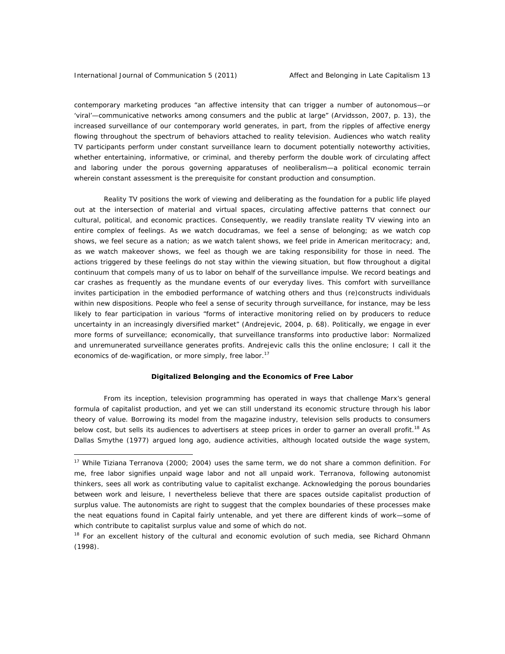contemporary marketing produces "an affective intensity that can trigger a number of autonomous—or 'viral'—communicative networks among consumers and the public at large" (Arvidsson, 2007, p. 13), the increased surveillance of our contemporary world generates, in part, from the ripples of affective energy flowing throughout the spectrum of behaviors attached to reality television. Audiences who watch reality TV participants perform under constant surveillance learn to document potentially noteworthy activities, whether entertaining, informative, or criminal, and thereby perform the double work of circulating affect and laboring under the porous governing apparatuses of neoliberalism—a political economic terrain wherein constant assessment is the prerequisite for constant production and consumption.

Reality TV positions the work of viewing and deliberating as the foundation for a public life played out at the intersection of material and virtual spaces, circulating affective patterns that connect our cultural, political, and economic practices. Consequently, we readily translate reality TV viewing into an entire complex of feelings. As we watch docudramas, we feel a sense of belonging; as we watch cop shows, we feel secure as a nation; as we watch talent shows, we feel pride in American meritocracy; and, as we watch makeover shows, we feel as though we are taking responsibility for those in need. The actions triggered by these feelings do not stay within the viewing situation, but flow throughout a digital continuum that compels many of us to labor on behalf of the surveillance impulse. We record beatings and car crashes as frequently as the mundane events of our everyday lives. This comfort with surveillance invites participation in the embodied performance of watching others and thus (re)constructs individuals within new dispositions. People who feel a sense of security through surveillance, for instance, may be less likely to fear participation in various "forms of interactive monitoring relied on by producers to reduce uncertainty in an increasingly diversified market" (Andrejevic, 2004, p. 68). Politically, we engage in ever more forms of surveillance; economically, that surveillance transforms into productive labor: Normalized and unremunerated surveillance generates profits. Andrejevic calls this the online enclosure; I call it the economics of de-wagification, or more simply, free labor.<sup>17</sup>

#### **Digitalized Belonging and the Economics of Free Labor**

From its inception, television programming has operated in ways that challenge Marx's general formula of capitalist production, and yet we can still understand its economic structure through his labor theory of value. Borrowing its model from the magazine industry, television sells products to consumers below cost, but sells its audiences to advertisers at steep prices in order to garner an overall profit.<sup>18</sup> As Dallas Smythe (1977) argued long ago, audience activities, although located outside the wage system,

<sup>&</sup>lt;sup>17</sup> While Tiziana Terranova (2000; 2004) uses the same term, we do not share a common definition. For me, free labor signifies unpaid wage labor and not all unpaid work. Terranova, following autonomist thinkers, sees all work as contributing value to capitalist exchange. Acknowledging the porous boundaries between work and leisure, I nevertheless believe that there are spaces outside capitalist production of surplus value. The autonomists are right to suggest that the complex boundaries of these processes make the neat equations found in *Capital* fairly untenable, and yet there are different kinds of work—some of which contribute to capitalist surplus value and some of which do not.

<sup>&</sup>lt;sup>18</sup> For an excellent history of the cultural and economic evolution of such media, see Richard Ohmann (1998).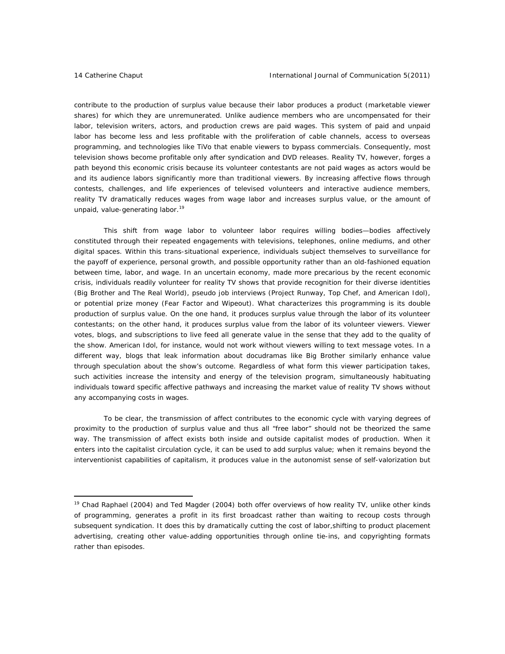contribute to the production of surplus value because their labor produces a product (marketable viewer shares) for which they are unremunerated. Unlike audience members who are uncompensated for their labor, television writers, actors, and production crews are paid wages. This system of paid and unpaid labor has become less and less profitable with the proliferation of cable channels, access to overseas programming, and technologies like TiVo that enable viewers to bypass commercials. Consequently, most television shows become profitable only after syndication and DVD releases. Reality TV, however, forges a path beyond this economic crisis because its volunteer contestants are not paid wages as actors would be and its audience labors significantly more than traditional viewers. By increasing affective flows through contests, challenges, and life experiences of televised volunteers and interactive audience members, reality TV dramatically reduces wages from wage labor and increases surplus value, or the amount of unpaid, value-generating labor.<sup>19</sup>

 This shift from wage labor to volunteer labor requires willing bodies—bodies affectively constituted through their repeated engagements with televisions, telephones, online mediums, and other digital spaces. Within this trans-situational experience, individuals subject themselves to surveillance for the payoff of experience, personal growth, and possible opportunity rather than an old-fashioned equation between time, labor, and wage. In an uncertain economy, made more precarious by the recent economic crisis, individuals readily volunteer for reality TV shows that provide recognition for their diverse identities (*Big Brother* and *The Real World*), pseudo job interviews (*Project Runway*, *Top Chef*, and *American Idol*), or potential prize money (*Fear Factor* and *Wipeout*). What characterizes this programming is its double production of surplus value. On the one hand, it produces surplus value through the labor of its volunteer contestants; on the other hand, it produces surplus value from the labor of its volunteer viewers. Viewer votes, blogs, and subscriptions to live feed all generate value in the sense that they add to the quality of the show. *American Idol*, for instance, would not work without viewers willing to text message votes. In a different way, blogs that leak information about docudramas like *Big Brother* similarly enhance value through speculation about the show's outcome. Regardless of what form this viewer participation takes, such activities increase the intensity and energy of the television program, simultaneously habituating individuals toward specific affective pathways and increasing the market value of reality TV shows without any accompanying costs in wages.

To be clear, the transmission of affect contributes to the economic cycle with varying degrees of proximity to the production of surplus value and thus all "free labor" should not be theorized the same way. The transmission of affect exists both inside and outside capitalist modes of production. When it enters into the capitalist circulation cycle, it can be used to add surplus value; when it remains beyond the interventionist capabilities of capitalism, it produces value in the autonomist sense of self-valorization but

 $19$  Chad Raphael (2004) and Ted Magder (2004) both offer overviews of how reality TV, unlike other kinds of programming, generates a profit in its first broadcast rather than waiting to recoup costs through subsequent syndication. It does this by dramatically cutting the cost of labor,shifting to product placement advertising, creating other value-adding opportunities through online tie-ins, and copyrighting formats rather than episodes.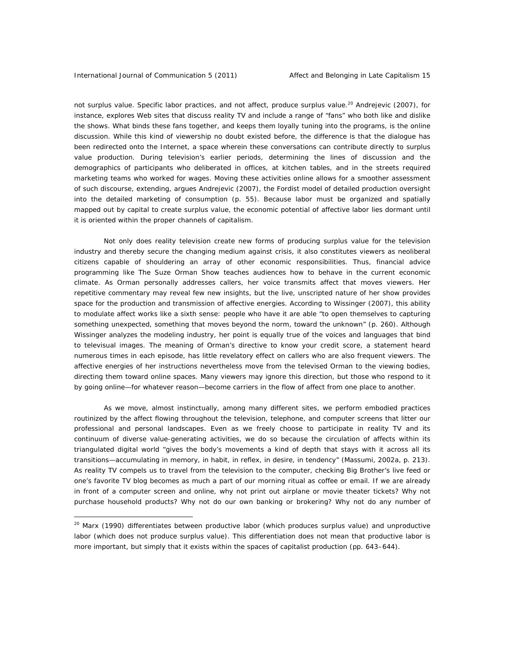not surplus value. Specific labor practices, and not affect, produce surplus value.<sup>20</sup> Andrejevic (2007), for instance, explores Web sites that discuss reality TV and include a range of "fans" who both like and dislike the shows. What binds these fans together, and keeps them loyally tuning into the programs, is the online discussion. While this kind of viewership no doubt existed before, the difference is that the dialogue has been redirected onto the Internet, a space wherein these conversations can contribute directly to surplus value production. During television's earlier periods, determining the lines of discussion and the demographics of participants who deliberated in offices, at kitchen tables, and in the streets required marketing teams who worked for wages. Moving these activities online allows for a smoother assessment of such discourse, extending, argues Andrejevic (2007), the Fordist model of detailed production oversight into the detailed marketing of consumption (p. 55). Because labor must be organized and spatially mapped out by capital to create surplus value, the economic potential of affective labor lies dormant until it is oriented within the proper channels of capitalism.

Not only does reality television create new forms of producing surplus value for the television industry and thereby secure the changing medium against crisis, it also constitutes viewers as neoliberal citizens capable of shouldering an array of other economic responsibilities. Thus, financial advice programming like *The Suze Orman Show* teaches audiences how to behave in the current economic climate. As Orman personally addresses callers, her voice transmits affect that moves viewers. Her repetitive commentary may reveal few new insights, but the live, unscripted nature of her show provides space for the production and transmission of affective energies. According to Wissinger (2007), this ability to modulate affect works like a sixth sense: people who have it are able "to open themselves to capturing something unexpected, something that moves beyond the norm, toward the unknown" (p. 260). Although Wissinger analyzes the modeling industry, her point is equally true of the voices and languages that bind to televisual images. The meaning of Orman's directive to know your credit score, a statement heard numerous times in each episode, has little revelatory effect on callers who are also frequent viewers. The affective energies of her instructions nevertheless move from the televised Orman to the viewing bodies, directing them toward online spaces. Many viewers may ignore this direction, but those who respond to it by going online—for whatever reason—become carriers in the flow of affect from one place to another.

As we move, almost instinctually, among many different sites, we perform embodied practices routinized by the affect flowing throughout the television, telephone, and computer screens that litter our professional and personal landscapes. Even as we freely choose to participate in reality TV and its continuum of diverse value-generating activities, we do so because the circulation of affects within its triangulated digital world "gives the body's movements a kind of depth that stays with it across all its transitions—accumulating in memory, in habit, in reflex, in desire, in *tendency*" (Massumi, 2002a, p. 213). As reality TV compels us to travel from the television to the computer, checking *Big Brother*'s live feed or one's favorite TV blog becomes as much a part of our morning ritual as coffee or email. If we are already in front of a computer screen and online, why not print out airplane or movie theater tickets? Why not purchase household products? Why not do our own banking or brokering? Why not do any number of

 $20$  Marx (1990) differentiates between productive labor (which produces surplus value) and unproductive labor (which does not produce surplus value). This differentiation does not mean that productive labor is more important, but simply that it exists within the spaces of capitalist production (pp. 643–644).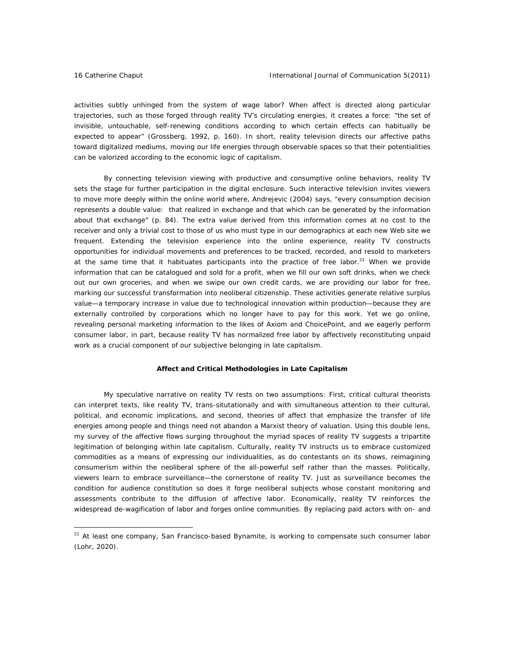activities subtly unhinged from the system of wage labor? When affect is directed along particular trajectories, such as those forged through reality TV's circulating energies, it creates a force: "the set of invisible, untouchable, self-renewing conditions according to which certain effects can habitually be expected to appear" (Grossberg, 1992, p. 160). In short, reality television directs our affective paths toward digitalized mediums, moving our life energies through observable spaces so that their potentialities can be valorized according to the economic logic of capitalism.

By connecting television viewing with productive and consumptive online behaviors, reality TV sets the stage for further participation in the digital enclosure. Such interactive television invites viewers to move more deeply within the online world where, Andrejevic (2004) says, "every consumption decision represents a double value: that realized in exchange and that which can be generated by the information about that exchange" (p. 84). The extra value derived from this information comes at no cost to the receiver and only a trivial cost to those of us who must type in our demographics at each new Web site we frequent. Extending the television experience into the online experience, reality TV constructs opportunities for individual movements and preferences to be tracked, recorded, and resold to marketers at the same time that it habituates participants into the practice of free labor.<sup>21</sup> When we provide information that can be catalogued and sold for a profit, when we fill our own soft drinks, when we check out our own groceries, and when we swipe our own credit cards, we are providing our labor for free, marking our successful transformation into neoliberal citizenship. These activities generate relative surplus value—a temporary increase in value due to technological innovation within production—because they are externally controlled by corporations which no longer have to pay for this work. Yet we go online, revealing personal marketing information to the likes of Axiom and ChoicePoint, and we eagerly perform consumer labor, in part, because reality TV has normalized free labor by affectively reconstituting unpaid work as a crucial component of our subjective belonging in late capitalism.

# **Affect and Critical Methodologies in Late Capitalism**

My speculative narrative on reality TV rests on two assumptions: First, critical cultural theorists can interpret texts, like reality TV, trans-situtationally and with simultaneous attention to their cultural, political, and economic implications, and second, theories of affect that emphasize the transfer of life energies among people and things need not abandon a Marxist theory of valuation. Using this double lens, my survey of the affective flows surging throughout the myriad spaces of reality TV suggests a tripartite legitimation of belonging within late capitalism. Culturally, reality TV instructs us to embrace customized commodities as a means of expressing our individualities, as do contestants on its shows, reimagining consumerism within the neoliberal sphere of the all-powerful self rather than the masses. Politically, viewers learn to embrace surveillance—the cornerstone of reality TV. Just as surveillance becomes the condition for audience constitution so does it forge neoliberal subjects whose constant monitoring and assessments contribute to the diffusion of affective labor. Economically, reality TV reinforces the widespread de-wagification of labor and forges online communities. By replacing paid actors with on- and

<sup>&</sup>lt;sup>21</sup> At least one company, San Francisco-based Bynamite, is working to compensate such consumer labor (Lohr, 2020).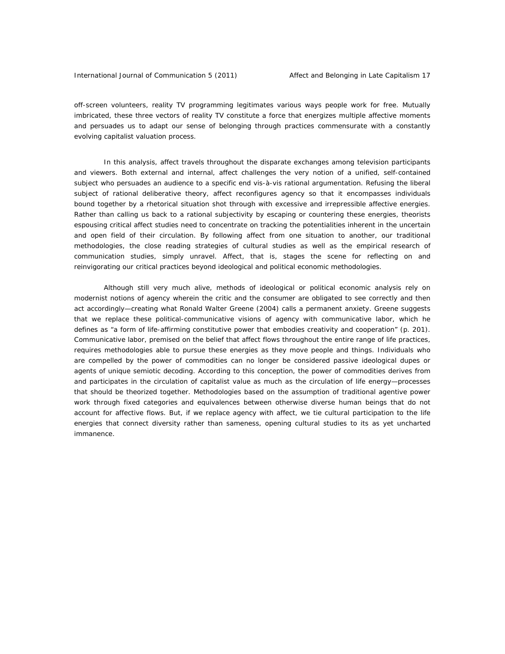off-screen volunteers, reality TV programming legitimates various ways people work for free. Mutually imbricated, these three vectors of reality TV constitute a force that energizes multiple affective moments and persuades us to adapt our sense of belonging through practices commensurate with a constantly evolving capitalist valuation process.

In this analysis, affect travels throughout the disparate exchanges among television participants and viewers. Both external and internal, affect challenges the very notion of a unified, self-contained subject who persuades an audience to a specific end vis-à-vis rational argumentation. Refusing the liberal subject of rational deliberative theory, affect reconfigures agency so that it encompasses individuals bound together by a rhetorical situation shot through with excessive and irrepressible affective energies. Rather than calling us back to a rational subjectivity by escaping or countering these energies, theorists espousing critical affect studies need to concentrate on tracking the potentialities inherent in the uncertain and open field of their circulation. By following affect from one situation to another, our traditional methodologies, the close reading strategies of cultural studies as well as the empirical research of communication studies, simply unravel. Affect, that is, stages the scene for reflecting on and reinvigorating our critical practices beyond ideological and political economic methodologies.

Although still very much alive, methods of ideological or political economic analysis rely on modernist notions of agency wherein the critic and the consumer are obligated to see correctly and then act accordingly—creating what Ronald Walter Greene (2004) calls a permanent anxiety. Greene suggests that we replace these political-communicative visions of agency with communicative labor, which he defines as "a form of life-affirming constitutive power that embodies creativity and cooperation" (p. 201). Communicative labor, premised on the belief that affect flows throughout the entire range of life practices, requires methodologies able to pursue these energies as they move people and things. Individuals who are compelled by the power of commodities can no longer be considered passive ideological dupes or agents of unique semiotic decoding. According to this conception, the power of commodities derives from and participates in the circulation of capitalist value as much as the circulation of life energy—processes that should be theorized together. Methodologies based on the assumption of traditional agentive power work through fixed categories and equivalences between otherwise diverse human beings that do not account for affective flows. But, if we replace agency with affect, we tie cultural participation to the life energies that connect diversity rather than sameness, opening cultural studies to its as yet uncharted immanence.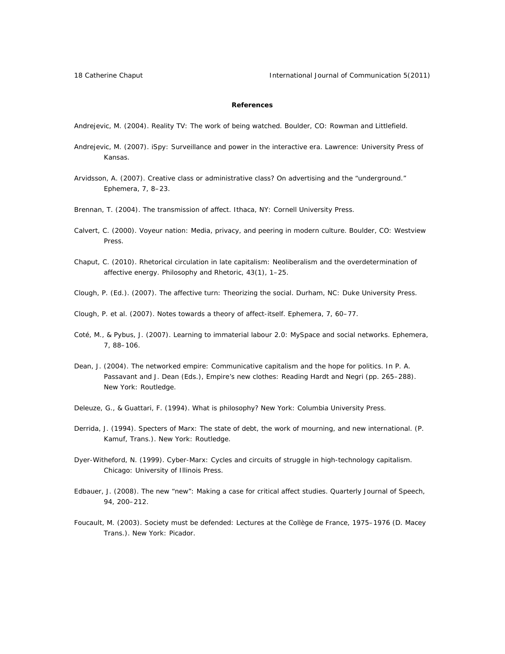# **References**

Andrejevic, M. (2004). *Reality TV: The work of being watched.* Boulder, CO: Rowman and Littlefield.

- Andrejevic, M. (2007). *iSpy: Surveillance and power in the interactive era*. Lawrence: University Press of Kansas.
- Arvidsson, A. (2007). Creative class or administrative class? On advertising and the "underground." *Ephemera, 7*, 8–23.
- Brennan, T. (2004). *The transmission of affect.* Ithaca, NY: Cornell University Press.
- Calvert, C. (2000). *Voyeur nation: Media, privacy, and peering in modern culture.* Boulder, CO: Westview Press.
- Chaput, C. (2010). Rhetorical circulation in late capitalism: Neoliberalism and the overdetermination of affective energy. *Philosophy and Rhetoric, 43*(1), 1–25.
- Clough, P. (Ed.). (2007). *The affective turn: Theorizing the social.* Durham, NC: Duke University Press.
- Clough, P. et al. (2007). Notes towards a theory of affect-itself. *Ephemera, 7,* 60–77.
- Coté, M., & Pybus, J. (2007). Learning to immaterial labour 2.0: MySpace and social networks. *Ephemera, 7,* 88–106.
- Dean, J. (2004). The networked empire: Communicative capitalism and the hope for politics. In P. A. Passavant and J. Dean (Eds.), *Empire's new clothes: Reading Hardt and Negri* (pp. 265–288). New York: Routledge.
- Deleuze, G., & Guattari, F. (1994). *What is philosophy?* New York: Columbia University Press.
- Derrida, J. (1994). *Specters of Marx: The state of debt, the work of mourning, and new international.* (P. Kamuf, Trans.). New York: Routledge.
- Dyer-Witheford, N. (1999). *Cyber-Marx: Cycles and circuits of struggle in high-technology capitalism.* Chicago: University of Illinois Press.
- Edbauer, J. (2008). The new "new": Making a case for critical affect studies. *Quarterly Journal of Speech, 94,* 200–212.
- Foucault, M. (2003). *Society must be defended: Lectures at the Collège de France, 1975–1976* (D. Macey Trans.). New York: Picador.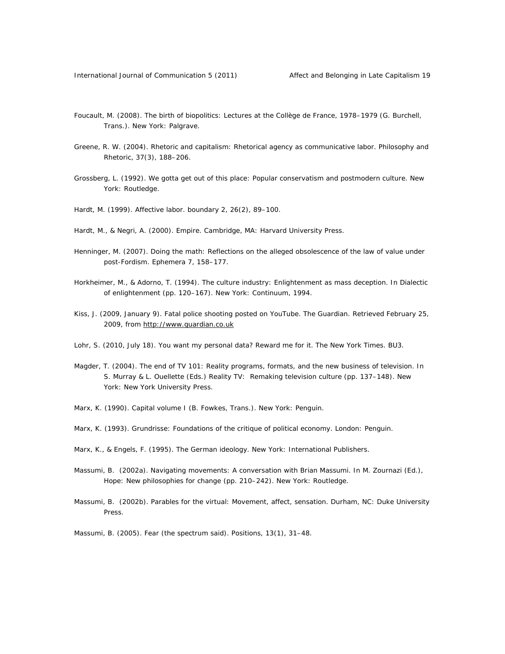- Foucault, M. (2008). *The birth of biopolitics: Lectures at the Collège de France, 1978–1979* (G. Burchell, Trans.). New York: Palgrave.
- Greene, R. W. (2004). Rhetoric and capitalism: Rhetorical agency as communicative labor. *Philosophy and Rhetoric, 37*(3), 188–206.
- Grossberg, L. (1992). *We gotta get out of this place: Popular conservatism and postmodern culture.* New York: Routledge.
- Hardt, M. (1999). Affective labor. *boundary 2, 26*(2), 89–100.
- Hardt, M., & Negri, A. (2000). *Empire*. Cambridge, MA: Harvard University Press.
- Henninger, M. (2007). Doing the math: Reflections on the alleged obsolescence of the law of value under post-Fordism. *Ephemera 7,* 158–177.
- Horkheimer, M., & Adorno, T. (1994). The culture industry: Enlightenment as mass deception. In *Dialectic of enlightenment* (pp. 120–167). New York: Continuum, 1994.
- Kiss, J. (2009, January 9). Fatal police shooting posted on YouTube. *The Guardian*. Retrieved February 25, 2009, from http://www.guardian.co.uk
- Lohr, S. (2010, July 18). You want my personal data? Reward me for it. *The New York Times*. BU3.
- Magder, T. (2004). The end of TV 101: Reality programs, formats, and the new business of television. In S. Murray & L. Ouellette (Eds.) *Reality TV: Remaking television culture* (pp. 137–148). New York: New York University Press.
- Marx, K. (1990). *Capital volume I* (B. Fowkes, Trans.). New York: Penguin.
- Marx, K. (1993). *Grundrisse: Foundations of the critique of political economy.* London: Penguin.
- Marx, K., & Engels, F. (1995). *The German ideology.* New York: International Publishers.
- Massumi, B. (2002a). Navigating movements: A conversation with Brian Massumi. In M. Zournazi (Ed.), *Hope: New philosophies for change* (pp. 210–242). New York: Routledge.
- Massumi, B. (2002b). *Parables for the virtual: Movement, affect, sensation.* Durham, NC: Duke University Press.
- Massumi, B. (2005). Fear (the spectrum said). *Positions, 13*(1), 31–48.